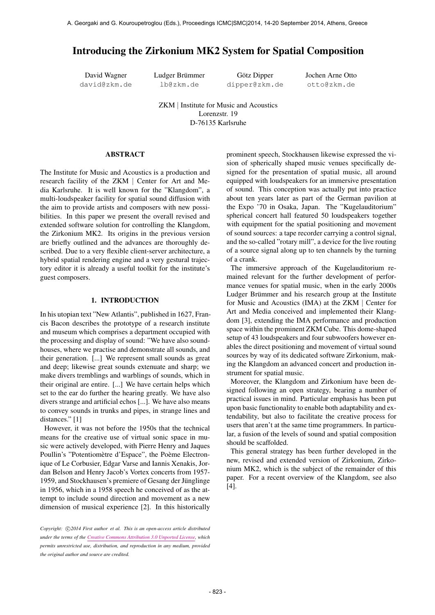# Introducing the Zirkonium MK2 System for Spatial Composition

David Wagner david@zkm.de Ludger Brümmer lb@zkm.de

Götz Dipper dipper@zkm.de Jochen Arne Otto otto@zkm.de

ZKM | Institute for Music and Acoustics Lorenzstr. 19 D-76135 Karlsruhe

### ABSTRACT

The Institute for Music and Acoustics is a production and research facility of the ZKM | Center for Art and Media Karlsruhe. It is well known for the "Klangdom", a multi-loudspeaker facility for spatial sound diffusion with the aim to provide artists and composers with new possibilities. In this paper we present the overall revised and extended software solution for controlling the Klangdom, the Zirkonium MK2. Its origins in the previous version are briefly outlined and the advances are thoroughly described. Due to a very flexible client-server architecture, a hybrid spatial rendering engine and a very gestural trajectory editor it is already a useful toolkit for the institute's guest composers.

# 1. INTRODUCTION

In his utopian text "New Atlantis", published in 1627, Francis Bacon describes the prototype of a research institute and museum which comprises a department occupied with the processing and display of sound: "We have also soundhouses, where we practise and demonstrate all sounds, and their generation. [...] We represent small sounds as great and deep; likewise great sounds extenuate and sharp; we make divers tremblings and warblings of sounds, which in their original are entire. [...] We have certain helps which set to the ear do further the hearing greatly. We have also divers strange and artificial echos [...]. We have also means to convey sounds in trunks and pipes, in strange lines and distances." [1]

However, it was not before the 1950s that the technical means for the creative use of virtual sonic space in music were actively developed, with Pierre Henry and Jaques Poullin's "Potentiomètre d'Espace", the Poème Electronique of Le Corbusier, Edgar Varse and Iannis Xenakis, Jordan Belson and Henry Jacob's Vortex concerts from 1957- 1959, and Stockhausen's premiere of Gesang der Jünglinge in 1956, which in a 1958 speech he conceived of as the attempt to include sound direction and movement as a new dimension of musical experience [2]. In this historically prominent speech, Stockhausen likewise expressed the vision of spherically shaped music venues specifically designed for the presentation of spatial music, all around equipped with loudspeakers for an immersive presentation of sound. This conception was actually put into practice about ten years later as part of the German pavilion at the Expo '70 in Osaka, Japan. The "Kugelauditorium" spherical concert hall featured 50 loudspeakers together with equipment for the spatial positioning and movement of sound sources: a tape recorder carrying a control signal, and the so-called "rotary mill", a device for the live routing of a source signal along up to ten channels by the turning of a crank.

The immersive approach of the Kugelauditorium remained relevant for the further development of performance venues for spatial music, when in the early 2000s Ludger Brümmer and his research group at the Institute for Music and Acoustics (IMA) at the ZKM | Center for Art and Media conceived and implemented their Klangdom [3], extending the IMA performance and production space within the prominent ZKM Cube. This dome-shaped setup of 43 loudspeakers and four subwoofers however enables the direct positioning and movement of virtual sound sources by way of its dedicated software Zirkonium, making the Klangdom an advanced concert and production instrument for spatial music.

Moreover, the Klangdom and Zirkonium have been designed following an open strategy, bearing a number of practical issues in mind. Particular emphasis has been put upon basic functionality to enable both adaptability and extendability, but also to facilitate the creative process for users that aren't at the same time programmers. In particular, a fusion of the levels of sound and spatial composition should be scaffolded.

This general strategy has been further developed in the new, revised and extended version of Zirkonium, Zirkonium MK2, which is the subject of the remainder of this paper. For a recent overview of the Klangdom, see also [4].

Copyright:  $\bigcirc$  2014 First author et al. This is an open-access article distributed *under the terms of the [Creative Commons Attribution 3.0 Unported License,](http://creativecommons.org/licenses/by/3.0/) which permits unrestricted use, distribution, and reproduction in any medium, provided the original author and source are credited.*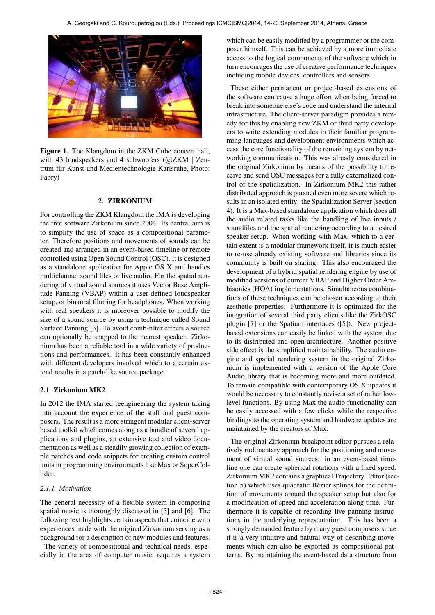

Figure 1. The Klangdom in the ZKM Cube concert hall, with 43 loudspeakers and 4 subwoofers  $(C)ZKM$  | Zentrum für Kunst und Medientechnologie Karlsruhe, Photo: Fabry)

#### 2. ZIRKONIUM

For controlling the ZKM Klangdom the IMA is developing the free software Zirkonium since 2004. Its central aim is to simplify the use of space as a compositional parameter. Therefore positions and movements of sounds can be created and arranged in an event-based timeline or remote controlled using Open Sound Control (OSC). It is designed as a standalone application for Apple OS X and handles multichannel sound files or live audio. For the spatial rendering of virtual sound sources it uses Vector Base Amplitude Panning (VBAP) within a user-defined loudspeaker setup, or binaural filtering for headphones. When working with real speakers it is moreover possible to modify the size of a sound source by using a technique called Sound Surface Panning [3]. To avoid comb-filter effects a source can optionally be snapped to the nearest speaker. Zirkonium has been a reliable tool in a wide variety of productions and performances. It has been constantly enhanced with different developers involved which to a certain extend results in a patch-like source package.

### 2.1 Zirkonium MK2

In 2012 the IMA started reengineering the system taking into account the experience of the staff and guest composers. The result is a more stringent modular client-server based toolkit which comes along as a bundle of several applications and plugins, an extensive text and video documentation as well as a steadily growing collection of example patches and code snippets for creating custom control units in programming environments like Max or SuperCollider.

### *2.1.1 Motivation*

The general necessity of a flexible system in composing spatial music is thoroughly discussed in [5] and [6]. The following text highlights certain aspects that coincide with experiences made with the original Zirkonium serving as a background for a description of new modules and features.

The variety of compositional and technical needs, especially in the area of computer music, requires a system which can be easily modified by a programmer or the composer himself. This can be achieved by a more immediate access to the logical components of the software which in turn encourages the use of creative performance techniques including mobile devices, controllers and sensors.

These either permanent or project-based extensions of the software can cause a huge effort when being forced to break into someone else's code and understand the internal infrastructure. The client-server paradigm provides a remedy for this by enabling new ZKM or third party developers to write extending modules in their familiar programming languages and development environments which access the core functionality of the remaining system by networking communication. This was already considered in the original Zirkonium by means of the possibility to receive and send OSC messages for a fully externalized control of the spatialization. In Zirkonium MK2 this rather distributed approach is pursued even more severe which results in an isolated entity: the Spatialization Server (section 4). It is a Max-based standalone application which does all the audio related tasks like the handling of live inputs / soundfiles and the spatial rendering according to a desired speaker setup. When working with Max, which to a certain extent is a modular framework itself, it is much easier to re-use already existing software and libraries since its community is built on sharing. This also encouraged the development of a hybrid spatial rendering engine by use of modified versions of current VBAP and Higher Order Ambisonics (HOA) implementations. Simultaneous combinations of these techniques can be chosen according to their aesthetic properties. Furthermore it is optimized for the integration of several third party clients like the ZirkOSC plugin [7] or the Spatium interfaces ([5]). New projectbased extensions can easily be linked with the system due to its distributed and open architecture. Another positive side effect is the simplified maintainability. The audio engine and spatial rendering system in the original Zirkonium is implemented with a version of the Apple Core Audio library that is becoming more and more outdated. To remain compatible with contemporary OS X updates it would be necessary to constantly revise a set of rather lowlevel functions. By using Max the audio functionality can be easily accessed with a few clicks while the respective bindings to the operating system and hardware updates are maintained by the creators of Max.

The original Zirkonium breakpoint editor pursues a relatively rudimentary approach for the positioning and movement of virtual sound sources: in an event-based timeline one can create spherical rotations with a fixed speed. Zirkonium MK2 contains a graphical Trajectory Editor (section 5) which uses quadratic Bézier splines for the definition of movements around the speaker setup but also for a modification of speed and acceleration along time. Furthermore it is capable of recording live panning instructions in the underlying representation. This has been a strongly demanded feature by many guest composers since it is a very intuitive and natural way of describing movements which can also be exported as compositional patterns. By maintaining the event-based data structure from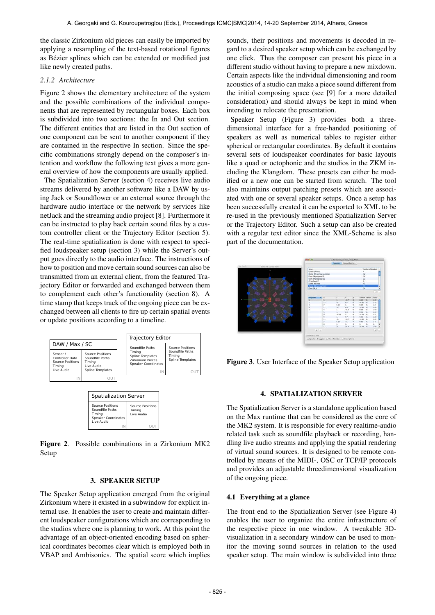the classic Zirkonium old pieces can easily be imported by applying a resampling of the text-based rotational figures as Bézier splines which can be extended or modified just like newly created paths.

### *2.1.2 Architecture*

Figure 2 shows the elementary architecture of the system and the possible combinations of the individual components that are represented by rectangular boxes. Each box is subdivided into two sections: the In and Out section. The different entities that are listed in the Out section of one component can be sent to another component if they are contained in the respective In section. Since the specific combinations strongly depend on the composer's intention and workflow the following text gives a more general overview of how the components are usually applied.

The Spatialization Server (section 4) receives live audio streams delivered by another software like a DAW by using Jack or Soundflower or an external source through the hardware audio interface or the network by services like netJack and the streaming audio project [8]. Furthermore it can be instructed to play back certain sound files by a custom controller client or the Trajectory Editor (section 5). The real-time spatialization is done with respect to specified loudspeaker setup (section 3) while the Server's output goes directly to the audio interface. The instructions of how to position and move certain sound sources can also be transmitted from an external client, from the featured Trajectory Editor or forwarded and exchanged between them to complement each other's functionality (section 8). A time stamp that keeps track of the ongoing piece can be exchanged between all clients to fire up certain spatial events or update positions according to a timeline.



| Source Positions<br>Soundfile Paths<br>Timina<br><b>Speaker Coordinates</b><br>Live Audio | Source Positions<br>Timina<br>Live Audio |
|-------------------------------------------------------------------------------------------|------------------------------------------|
|                                                                                           |                                          |

Figure 2. Possible combinations in a Zirkonium MK2 Setup

#### 3. SPEAKER SETUP

The Speaker Setup application emerged from the original Zirkonium where it existed in a subwindow for explicit internal use. It enables the user to create and maintain different loudspeaker configurations which are corresponding to the studios where one is planning to work. At this point the advantage of an object-oriented encoding based on spherical coordinates becomes clear which is employed both in VBAP and Ambisonics. The spatial score which implies sounds, their positions and movements is decoded in regard to a desired speaker setup which can be exchanged by one click. Thus the composer can present his piece in a different studio without having to prepare a new mixdown. Certain aspects like the individual dimensioning and room acoustics of a studio can make a piece sound different from the initial composing space (see [9] for a more detailed consideration) and should always be kept in mind when intending to relocate the presentation.

Speaker Setup (Figure 3) provides both a threedimensional interface for a free-handed positioning of speakers as well as numerical tables to register either spherical or rectangular coordinates. By default it contains several sets of loudspeaker coordinates for basic layouts like a quad or octophonic and the studios in the ZKM including the Klangdom. These presets can either be modified or a new one can be started from scratch. The tool also maintains output patching presets which are associated with one or several speaker setups. Once a setup has been successfully created it can be exported to XML to be re-used in the previously mentioned Spatialization Server or the Trajectory Editor. Such a setup can also be created with a regular text editor since the XML-Scheme is also part of the documentation.



Figure 3. User Interface of the Speaker Setup application

#### 4. SPATIALIZATION SERVER

The Spatialization Server is a standalone application based on the Max runtime that can be considered as the core of the MK2 system. It is responsible for every realtime-audio related task such as soundfile playback or recording, handling live audio streams and applying the spatial rendering of virtual sound sources. It is designed to be remote controlled by means of the MIDI-, OSC or TCP/IP protocols and provides an adjustable threedimensional visualization of the ongoing piece.

#### 4.1 Everything at a glance

The front end to the Spatialization Server (see Figure 4) enables the user to organize the entire infrastructure of the respective piece in one window. A tweakable 3Dvisualization in a secondary window can be used to monitor the moving sound sources in relation to the used speaker setup. The main window is subdivided into three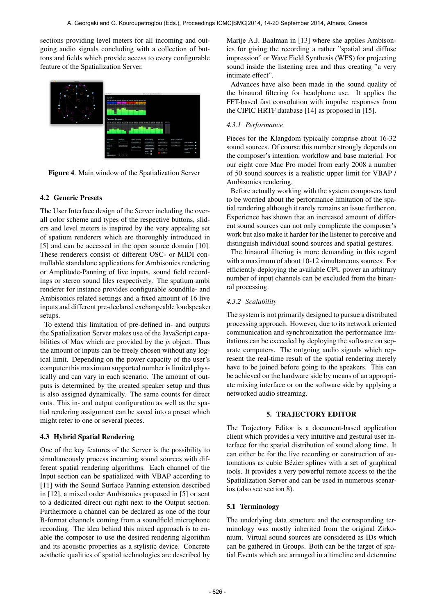sections providing level meters for all incoming and outgoing audio signals concluding with a collection of buttons and fields which provide access to every configurable feature of the Spatialization Server.



Figure 4. Main window of the Spatialization Server

### 4.2 Generic Presets

The User Interface design of the Server including the overall color scheme and types of the respective buttons, sliders and level meters is inspired by the very appealing set of spatium renderers which are thoroughly introduced in [5] and can be accessed in the open source domain [10]. These renderers consist of different OSC- or MIDI controllable standalone applications for Ambisonics rendering or Amplitude-Panning of live inputs, sound field recordings or stereo sound files respectively. The spatium·ambi renderer for instance provides configurable soundfile- and Ambisonics related settings and a fixed amount of 16 live inputs and different pre-declared exchangeable loudspeaker setups.

To extend this limitation of pre-defined in- and outputs the Spatialization Server makes use of the JavaScript capabilities of Max which are provided by the *js* object. Thus the amount of inputs can be freely chosen without any logical limit. Depending on the power capacity of the user's computer this maximum supported number is limited physically and can vary in each scenario. The amount of outputs is determined by the created speaker setup and thus is also assigned dynamically. The same counts for direct outs. This in- and output configuration as well as the spatial rendering assignment can be saved into a preset which might refer to one or several pieces.

# 4.3 Hybrid Spatial Rendering

One of the key features of the Server is the possibility to simultaneously process incoming sound sources with different spatial rendering algorithms. Each channel of the Input section can be spatialized with VBAP according to [11] with the Sound Surface Panning extension described in [12], a mixed order Ambisonics proposed in [5] or sent to a dedicated direct out right next to the Output section. Furthermore a channel can be declared as one of the four B-format channels coming from a soundfield microphone recording. The idea behind this mixed approach is to enable the composer to use the desired rendering algorithm and its acoustic properties as a stylistic device. Concrete aesthetic qualities of spatial technologies are described by Marije A.J. Baalman in [13] where she applies Ambisonics for giving the recording a rather "spatial and diffuse impression" or Wave Field Synthesis (WFS) for projecting sound inside the listening area and thus creating "a very intimate effect".

Advances have also been made in the sound quality of the binaural filtering for headphone use. It applies the FFT-based fast convolution with impulse responses from the CIPIC HRTF database [14] as proposed in [15].

# *4.3.1 Performance*

Pieces for the Klangdom typically comprise about 16-32 sound sources. Of course this number strongly depends on the composer's intention, workflow and base material. For our eight core Mac Pro model from early 2008 a number of 50 sound sources is a realistic upper limit for VBAP / Ambisonics rendering.

Before actually working with the system composers tend to be worried about the performance limitation of the spatial rendering although it rarely remains an issue further on. Experience has shown that an increased amount of different sound sources can not only complicate the composer's work but also make it harder for the listener to perceive and distinguish individual sound sources and spatial gestures.

The binaural filtering is more demanding in this regard with a maximum of about 10-12 simultaneous sources. For efficiently deploying the available CPU power an arbitrary number of input channels can be excluded from the binaural processing.

# *4.3.2 Scalability*

The system is not primarily designed to pursue a distributed processing approach. However, due to its network oriented communication and synchronization the performance limitations can be exceeded by deploying the software on separate computers. The outgoing audio signals which represent the real-time result of the spatial rendering merely have to be joined before going to the speakers. This can be achieved on the hardware side by means of an appropriate mixing interface or on the software side by applying a networked audio streaming.

### 5. TRAJECTORY EDITOR

The Trajectory Editor is a document-based application client which provides a very intuitive and gestural user interface for the spatial distribution of sound along time. It can either be for the live recording or construction of automations as cubic Bézier splines with a set of graphical tools. It provides a very powerful remote access to the the Spatialization Server and can be used in numerous scenarios (also see section 8).

### 5.1 Terminology

The underlying data structure and the corresponding terminology was mostly inherited from the original Zirkonium. Virtual sound sources are considered as IDs which can be gathered in Groups. Both can be the target of spatial Events which are arranged in a timeline and determine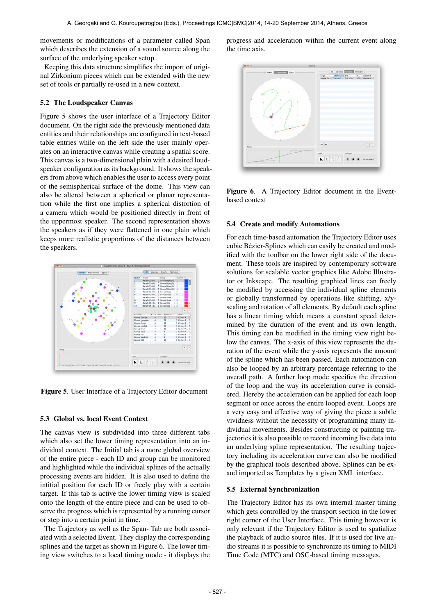movements or modifications of a parameter called Span which describes the extension of a sound source along the surface of the underlying speaker setup.

Keeping this data structure simplifies the import of original Zirkonium pieces which can be extended with the new set of tools or partially re-used in a new context.

### 5.2 The Loudspeaker Canvas

Figure 5 shows the user interface of a Trajectory Editor document. On the right side the previously mentioned data entities and their relationships are configured in text-based table entries while on the left side the user mainly operates on an interactive canvas while creating a spatial score. This canvas is a two-dimensional plain with a desired loudspeaker configuration as its background. It shows the speakers from above which enables the user to access every point of the semispherical surface of the dome. This view can also be altered between a spherical or planar representation while the first one implies a spherical distortion of a camera which would be positioned directly in front of the uppermost speaker. The second representation shows the speakers as if they were flattened in one plain which keeps more realistic proportions of the distances between the speakers.



Figure 5. User Interface of a Trajectory Editor document

# 5.3 Global vs. local Event Context

The canvas view is subdivided into three different tabs which also set the lower timing representation into an individual context. The Initial tab is a more global overview of the entire piece - each ID and group can be monitored and highlighted while the individual splines of the actually processing events are hidden. It is also used to define the intitial position for each ID or freely play with a certain target. If this tab is active the lower timing view is scaled onto the length of the entire piece and can be used to observe the progress which is represented by a running cursor or step into a certain point in time.

The Trajectory as well as the Span- Tab are both associated with a selected Event. They display the corresponding splines and the target as shown in Figure 6. The lower timing view switches to a local timing mode - it displays the progress and acceleration within the current event along the time axis.



Figure 6. A Trajectory Editor document in the Eventbased context

### 5.4 Create and modify Automations

For each time-based automation the Trajectory Editor uses cubic Bezier-Splines which can easily be created and mod- ´ ified with the toolbar on the lower right side of the document. These tools are inspired by contemporary software solutions for scalable vector graphics like Adobe Illustrator or Inkscape. The resulting graphical lines can freely be modified by accessing the individual spline elements or globally transformed by operations like shifting, x/yscaling and rotation of all elements. By default each spline has a linear timing which means a constant speed determined by the duration of the event and its own length. This timing can be modified in the timing view right below the canvas. The x-axis of this view represents the duration of the event while the y-axis represents the amount of the spline which has been passed. Each automation can also be looped by an arbitrary percentage referring to the overall path. A further loop mode specifies the direction of the loop and the way its acceleration curve is considered. Hereby the acceleration can be applied for each loop segment or once across the entire looped event. Loops are a very easy and effective way of giving the piece a subtle vividness without the necessity of programming many individual movements. Besides constructing or painting trajectories it is also possible to record incoming live data into an underlying spline representation. The resulting trajectory including its acceleration curve can also be modified by the graphical tools described above. Splines can be exand imported as Templates by a given XML interface.

### 5.5 External Synchronization

The Trajectory Editor has its own internal master timing which gets controlled by the transport section in the lower right corner of the User Interface. This timing however is only relevant if the Trajectory Editor is used to spatialize the playback of audio source files. If it is used for live audio streams it is possible to synchronize its timing to MIDI Time Code (MTC) and OSC-based timing messages.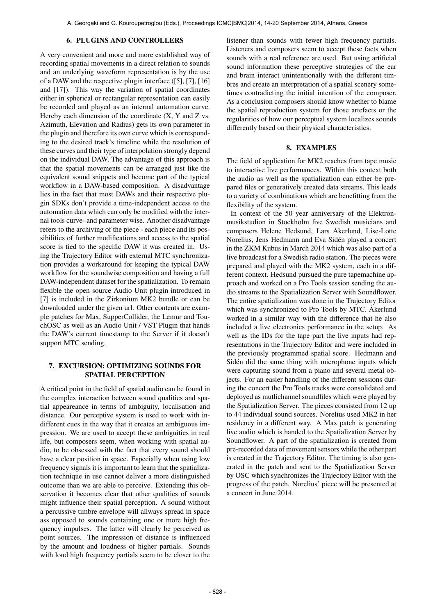### 6. PLUGINS AND CONTROLLERS

A very convenient and more and more established way of recording spatial movements in a direct relation to sounds and an underlying waveform representation is by the use of a DAW and the respective plugin interface ([5], [7], [16] and [17]). This way the variation of spatial coordinates either in spherical or rectangular representation can easily be recorded and played as an internal automation curve. Hereby each dimension of the coordinate (X, Y and Z vs. Azimuth, Elevation and Radius) gets its own parameter in the plugin and therefore its own curve which is corresponding to the desired track's timeline while the resolution of these curves and their type of interpolation strongly depend on the individual DAW. The advantage of this approach is that the spatial movements can be arranged just like the equivalent sound snippets and become part of the typical workflow in a DAW-based composition. A disadvantage lies in the fact that most DAWs and their respective plugin SDKs don't provide a time-independent access to the automation data which can only be modified with the internal tools curve- and parameter wise. Another disadvantage refers to the archiving of the piece - each piece and its possibilities of further modifications and access to the spatial score is tied to the specific DAW it was created in. Using the Trajectory Editor with external MTC synchronization provides a workaround for keeping the typical DAW workflow for the soundwise composition and having a full DAW-independent dataset for the spatialization. To remain flexible the open source Audio Unit plugin introduced in [7] is included in the Zirkonium MK2 bundle or can be downloaded under the given url. Other contents are example patches for Max, SupperCollider, the Lemur and TouchOSC as well as an Audio Unit / VST Plugin that hands the DAW's current timestamp to the Server if it doesn't support MTC sending.

# 7. EXCURSION: OPTIMIZING SOUNDS FOR SPATIAL PERCEPTION

A critical point in the field of spatial audio can be found in the complex interaction between sound qualities and spatial appeareance in terms of ambiguity, localisation and distance. Our perceptive system is used to work with indifferent cues in the way that it creates an ambiguous impression. We are used to accept these ambiguities in real life, but composers seem, when working with spatial audio, to be obsessed with the fact that every sound should have a clear position in space. Especially when using low frequency signals it is important to learn that the spatialization technique in use cannot deliver a more distinguished outcome than we are able to perceive. Extending this observation it becomes clear that other qualities of sounds might influence their spatial perception. A sound without a percussive timbre envelope will allways spread in space ass opposed to sounds containing one or more high frequency impulses. The latter will clearly be perceived as point sources. The impression of distance is influenced by the amount and loudness of higher partials. Sounds with loud high frequency partials seem to be closer to the

listener than sounds with fewer high frequency partials. Listeners and composers seem to accept these facts when sounds with a real reference are used. But using artificial sound information these perceptive strategies of the ear and brain interact unintentionally with the different timbres and create an interpretation of a spatial scenery sometimes contradicting the initial intention of the composer. As a conclusion composers should know whether to blame the spatial reproduction system for those artefacts or the regularities of how our perceptual system localizes sounds differently based on their physical characteristics.

### 8. EXAMPLES

The field of application for MK2 reaches from tape music to interactive live performances. Within this context both the audio as well as the spatialization can either be prepared files or generatively created data streams. This leads to a variety of combinations which are benefitting from the flexibility of the system.

In context of the 50 year anniversary of the Elektronmusikstudion in Stockholm five Swedish musicians and composers Helene Hedsund, Lars Åkerlund, Lise-Lotte Norelius, Jens Hedmann and Eva Siden played a concert ´ in the ZKM Kubus in March 2014 which was also part of a live broadcast for a Swedish radio station. The pieces were prepared and played with the MK2 system, each in a different context. Hedsund pursued the pure tapemachine approach and worked on a Pro Tools session sending the audio streams to the Spatialization Server with Soundflower. The entire spatialization was done in the Trajectory Editor which was synchronized to Pro Tools by MTC. Åkerlund worked in a similar way with the difference that he also included a live electronics performance in the setup. As well as the IDs for the tape part the live inputs had representations in the Trajectory Editor and were included in the previously programmed spatial score. Hedmann and Sidén did the same thing with microphone inputs which were capturing sound from a piano and several metal objects. For an easier handling of the different sessions during the concert the Pro Tools tracks were consolidated and deployed as mutlichannel soundfiles which were played by the Spatialization Server. The pieces consisted from 12 up to 44 individual sound sources. Norelius used MK2 in her residency in a different way. A Max patch is generating live audio which is handed to the Spatialization Server by Soundflower. A part of the spatialization is created from pre-recorded data of movement sensors while the other part is created in the Trajectory Editor. The timing is also generated in the patch and sent to the Spatialization Server by OSC which synchronizes the Trajectory Editor with the progress of the patch. Norelius' piece will be presented at a concert in June 2014.